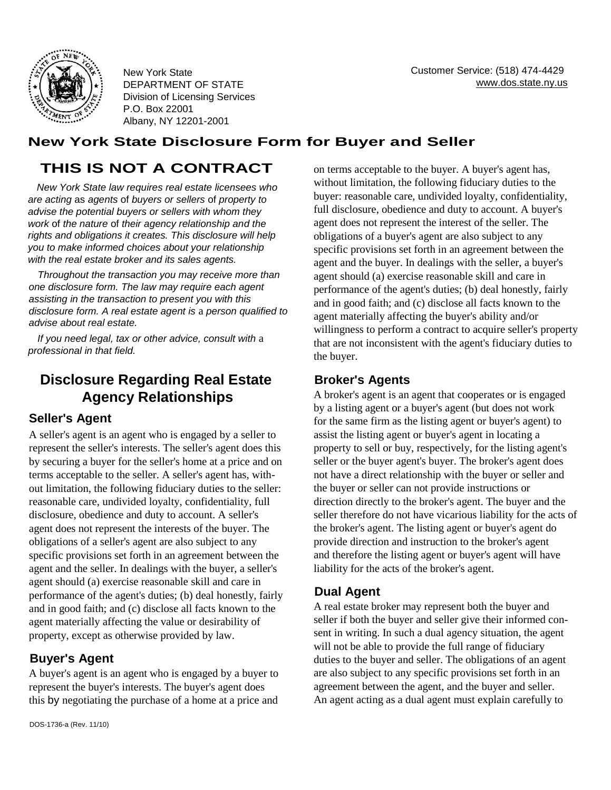

New York State DEPARTMENT OF STATE Division of Licensing Services P.O. Box 22001 Albany, NY 12201-2001

### **New York State Disclosure Form for Buyer and Seller**

# **THIS IS NOT A CONTRACT**

*New York State law requires real estate licensees who are acting* as *agents* of *buyers or sellers* of *property to advise the potential buyers or sellers with whom they work* of *the nature* of *their agency relationship and the rights and obligations it creates. This disclosure will help you to make informed choices about your relationship with the real estate broker and its sales agents.* 

*Throughout the transaction you may receive more than one disclosure form. The law may require each agent assisting in the transaction to present you with this disclosure form. A real estate agent is* a *person qualified to advise about real estate.* 

*If you need legal, tax or other advice, consult with* a *professional in that field.* 

## **Disclosure Regarding Real Estate Agency Relationships**

### **Seller's Agent**

A seller's agent is an agent who is engaged by a seller to represent the seller's interests. The seller's agent does this by securing a buyer for the seller's home at a price and on terms acceptable to the seller. A seller's agent has, without limitation, the following fiduciary duties to the seller: reasonable care, undivided loyalty, confidentiality, full disclosure, obedience and duty to account. A seller's agent does not represent the interests of the buyer. The obligations of a seller's agent are also subject to any specific provisions set forth in an agreement between the agent and the seller. In dealings with the buyer, a seller's agent should (a) exercise reasonable skill and care in performance of the agent's duties; (b) deal honestly, fairly and in good faith; and (c) disclose all facts known to the agent materially affecting the value or desirability of property, except as otherwise provided by law.

#### **Buyer's Agent**

A buyer's agent is an agent who is engaged by a buyer to represent the buyer's interests. The buyer's agent does this by negotiating the purchase of a home at a price and on terms acceptable to the buyer. A buyer's agent has, without limitation, the following fiduciary duties to the buyer: reasonable care, undivided loyalty, confidentiality, full disclosure, obedience and duty to account. A buyer's agent does not represent the interest of the seller. The obligations of a buyer's agent are also subject to any specific provisions set forth in an agreement between the agent and the buyer. In dealings with the seller, a buyer's agent should (a) exercise reasonable skill and care in performance of the agent's duties; (b) deal honestly, fairly and in good faith; and (c) disclose all facts known to the agent materially affecting the buyer's ability and/or willingness to perform a contract to acquire seller's property that are not inconsistent with the agent's fiduciary duties to the buyer.

#### **Broker's Agents**

A broker's agent is an agent that cooperates or is engaged by a listing agent or a buyer's agent (but does not work for the same firm as the listing agent or buyer's agent) to assist the listing agent or buyer's agent in locating a property to sell or buy, respectively, for the listing agent's seller or the buyer agent's buyer. The broker's agent does not have a direct relationship with the buyer or seller and the buyer or seller can not provide instructions or direction directly to the broker's agent. The buyer and the seller therefore do not have vicarious liability for the acts of the broker's agent. The listing agent or buyer's agent do provide direction and instruction to the broker's agent and therefore the listing agent or buyer's agent will have liability for the acts of the broker's agent.

#### **Dual Agent**

A real estate broker may represent both the buyer and seller if both the buyer and seller give their informed consent in writing. In such a dual agency situation, the agent will not be able to provide the full range of fiduciary duties to the buyer and seller. The obligations of an agent are also subject to any specific provisions set forth in an agreement between the agent, and the buyer and seller. An agent acting as a dual agent must explain carefully to